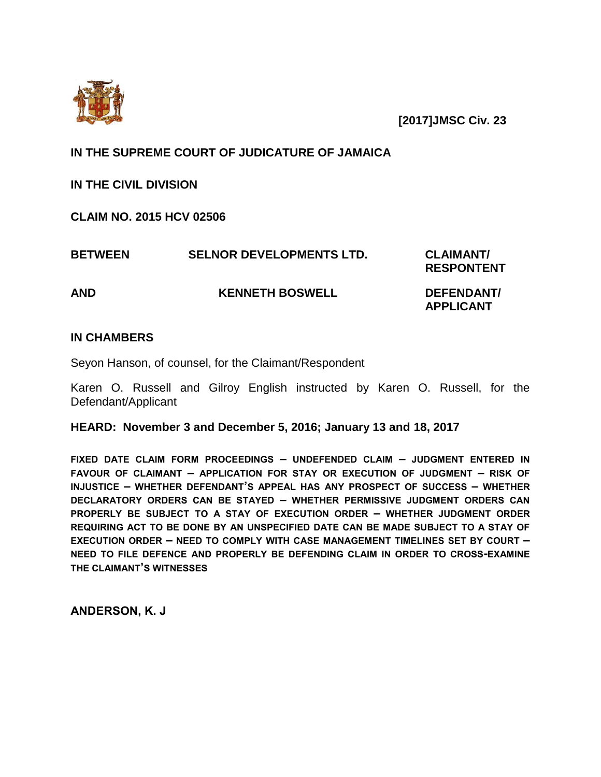

 **[2017]JMSC Civ. 23**

# **IN THE SUPREME COURT OF JUDICATURE OF JAMAICA**

**IN THE CIVIL DIVISION**

**CLAIM NO. 2015 HCV 02506**

| <b>BETWEEN</b> | <b>SELNOR DEVELOPMENTS LTD.</b> | <b>CLAIMANT/</b><br><b>RESPONTENT</b> |
|----------------|---------------------------------|---------------------------------------|
| AND            | <b>KENNETH BOSWELL</b>          | DEFENDANT/<br><b>APPLICANT</b>        |

## **IN CHAMBERS**

Seyon Hanson, of counsel, for the Claimant/Respondent

Karen O. Russell and Gilroy English instructed by Karen O. Russell, for the Defendant/Applicant

**HEARD: November 3 and December 5, 2016; January 13 and 18, 2017**

**FIXED DATE CLAIM FORM PROCEEDINGS – UNDEFENDED CLAIM – JUDGMENT ENTERED IN FAVOUR OF CLAIMANT – APPLICATION FOR STAY OR EXECUTION OF JUDGMENT – RISK OF INJUSTICE – WHETHER DEFENDANT'S APPEAL HAS ANY PROSPECT OF SUCCESS – WHETHER DECLARATORY ORDERS CAN BE STAYED – WHETHER PERMISSIVE JUDGMENT ORDERS CAN PROPERLY BE SUBJECT TO A STAY OF EXECUTION ORDER – WHETHER JUDGMENT ORDER REQUIRING ACT TO BE DONE BY AN UNSPECIFIED DATE CAN BE MADE SUBJECT TO A STAY OF EXECUTION ORDER – NEED TO COMPLY WITH CASE MANAGEMENT TIMELINES SET BY COURT – NEED TO FILE DEFENCE AND PROPERLY BE DEFENDING CLAIM IN ORDER TO CROSS-EXAMINE THE CLAIMANT'S WITNESSES**

**ANDERSON, K. J**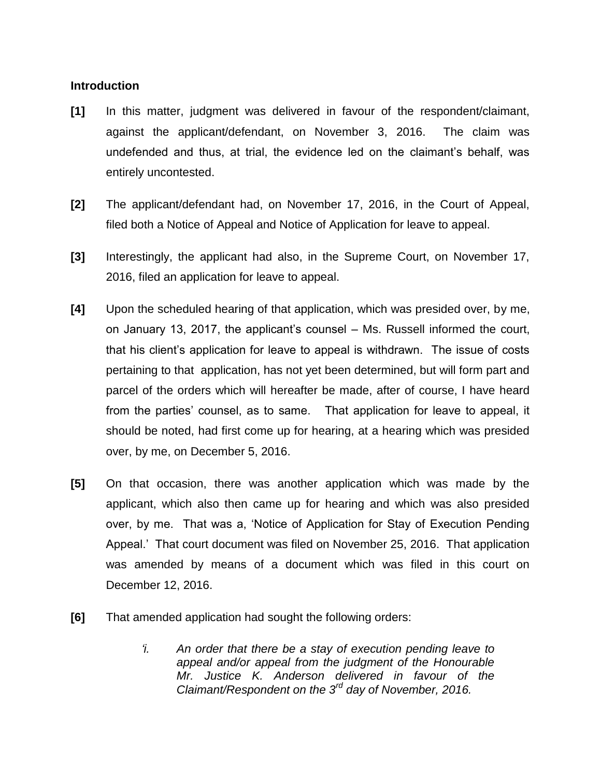### **Introduction**

- **[1]** In this matter, judgment was delivered in favour of the respondent/claimant, against the applicant/defendant, on November 3, 2016. The claim was undefended and thus, at trial, the evidence led on the claimant's behalf, was entirely uncontested.
- **[2]** The applicant/defendant had, on November 17, 2016, in the Court of Appeal, filed both a Notice of Appeal and Notice of Application for leave to appeal.
- **[3]** Interestingly, the applicant had also, in the Supreme Court, on November 17, 2016, filed an application for leave to appeal.
- **[4]** Upon the scheduled hearing of that application, which was presided over, by me, on January 13, 2017, the applicant's counsel – Ms. Russell informed the court, that his client's application for leave to appeal is withdrawn. The issue of costs pertaining to that application, has not yet been determined, but will form part and parcel of the orders which will hereafter be made, after of course, I have heard from the parties' counsel, as to same. That application for leave to appeal, it should be noted, had first come up for hearing, at a hearing which was presided over, by me, on December 5, 2016.
- **[5]** On that occasion, there was another application which was made by the applicant, which also then came up for hearing and which was also presided over, by me. That was a, 'Notice of Application for Stay of Execution Pending Appeal.' That court document was filed on November 25, 2016. That application was amended by means of a document which was filed in this court on December 12, 2016.
- **[6]** That amended application had sought the following orders:
	- *'i. An order that there be a stay of execution pending leave to appeal and/or appeal from the judgment of the Honourable Mr. Justice K. Anderson delivered in favour of the Claimant/Respondent on the 3rd day of November, 2016.*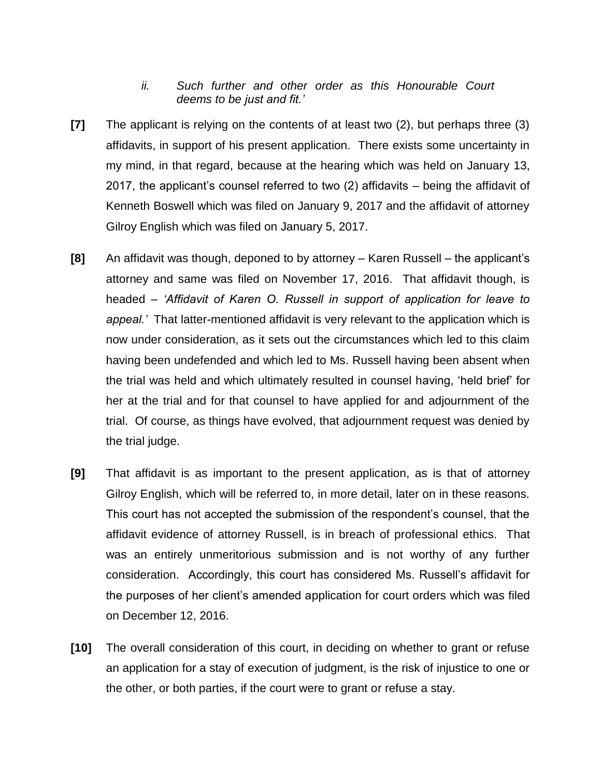## *ii. Such further and other order as this Honourable Court deems to be just and fit.'*

- **[7]** The applicant is relying on the contents of at least two (2), but perhaps three (3) affidavits, in support of his present application. There exists some uncertainty in my mind, in that regard, because at the hearing which was held on January 13, 2017, the applicant's counsel referred to two (2) affidavits – being the affidavit of Kenneth Boswell which was filed on January 9, 2017 and the affidavit of attorney Gilroy English which was filed on January 5, 2017.
- **[8]** An affidavit was though, deponed to by attorney Karen Russell the applicant's attorney and same was filed on November 17, 2016. That affidavit though, is headed – *'Affidavit of Karen O. Russell in support of application for leave to appeal.'* That latter-mentioned affidavit is very relevant to the application which is now under consideration, as it sets out the circumstances which led to this claim having been undefended and which led to Ms. Russell having been absent when the trial was held and which ultimately resulted in counsel having, 'held brief' for her at the trial and for that counsel to have applied for and adjournment of the trial. Of course, as things have evolved, that adjournment request was denied by the trial judge.
- **[9]** That affidavit is as important to the present application, as is that of attorney Gilroy English, which will be referred to, in more detail, later on in these reasons. This court has not accepted the submission of the respondent's counsel, that the affidavit evidence of attorney Russell, is in breach of professional ethics. That was an entirely unmeritorious submission and is not worthy of any further consideration. Accordingly, this court has considered Ms. Russell's affidavit for the purposes of her client's amended application for court orders which was filed on December 12, 2016.
- **[10]** The overall consideration of this court, in deciding on whether to grant or refuse an application for a stay of execution of judgment, is the risk of injustice to one or the other, or both parties, if the court were to grant or refuse a stay.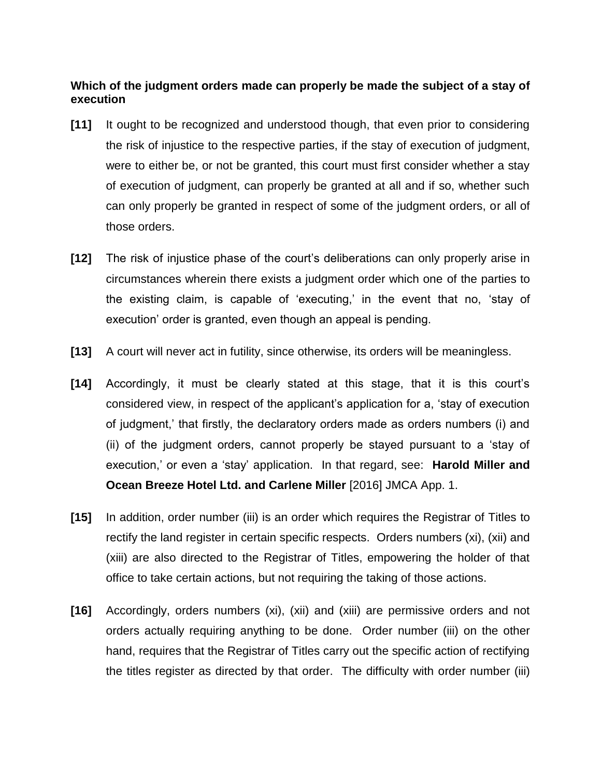## **Which of the judgment orders made can properly be made the subject of a stay of execution**

- **[11]** It ought to be recognized and understood though, that even prior to considering the risk of injustice to the respective parties, if the stay of execution of judgment, were to either be, or not be granted, this court must first consider whether a stay of execution of judgment, can properly be granted at all and if so, whether such can only properly be granted in respect of some of the judgment orders, or all of those orders.
- **[12]** The risk of injustice phase of the court's deliberations can only properly arise in circumstances wherein there exists a judgment order which one of the parties to the existing claim, is capable of 'executing,' in the event that no, 'stay of execution' order is granted, even though an appeal is pending.
- **[13]** A court will never act in futility, since otherwise, its orders will be meaningless.
- **[14]** Accordingly, it must be clearly stated at this stage, that it is this court's considered view, in respect of the applicant's application for a, 'stay of execution of judgment,' that firstly, the declaratory orders made as orders numbers (i) and (ii) of the judgment orders, cannot properly be stayed pursuant to a 'stay of execution,' or even a 'stay' application. In that regard, see: **Harold Miller and Ocean Breeze Hotel Ltd. and Carlene Miller** [2016] JMCA App. 1.
- **[15]** In addition, order number (iii) is an order which requires the Registrar of Titles to rectify the land register in certain specific respects. Orders numbers (xi), (xii) and (xiii) are also directed to the Registrar of Titles, empowering the holder of that office to take certain actions, but not requiring the taking of those actions.
- **[16]** Accordingly, orders numbers (xi), (xii) and (xiii) are permissive orders and not orders actually requiring anything to be done. Order number (iii) on the other hand, requires that the Registrar of Titles carry out the specific action of rectifying the titles register as directed by that order. The difficulty with order number (iii)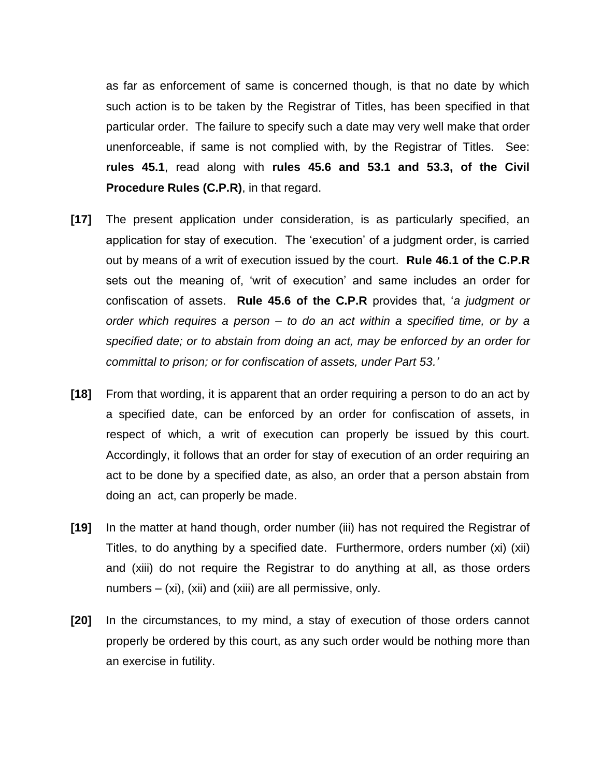as far as enforcement of same is concerned though, is that no date by which such action is to be taken by the Registrar of Titles, has been specified in that particular order. The failure to specify such a date may very well make that order unenforceable, if same is not complied with, by the Registrar of Titles. See: **rules 45.1**, read along with **rules 45.6 and 53.1 and 53.3, of the Civil Procedure Rules (C.P.R)**, in that regard.

- **[17]** The present application under consideration, is as particularly specified, an application for stay of execution. The 'execution' of a judgment order, is carried out by means of a writ of execution issued by the court. **Rule 46.1 of the C.P.R** sets out the meaning of, 'writ of execution' and same includes an order for confiscation of assets. **Rule 45.6 of the C.P.R** provides that, '*a judgment or order which requires a person – to do an act within a specified time, or by a specified date; or to abstain from doing an act, may be enforced by an order for committal to prison; or for confiscation of assets, under Part 53.'*
- **[18]** From that wording, it is apparent that an order requiring a person to do an act by a specified date, can be enforced by an order for confiscation of assets, in respect of which, a writ of execution can properly be issued by this court. Accordingly, it follows that an order for stay of execution of an order requiring an act to be done by a specified date, as also, an order that a person abstain from doing an act, can properly be made.
- **[19]** In the matter at hand though, order number (iii) has not required the Registrar of Titles, to do anything by a specified date. Furthermore, orders number (xi) (xii) and (xiii) do not require the Registrar to do anything at all, as those orders numbers – (xi), (xii) and (xiii) are all permissive, only.
- **[20]** In the circumstances, to my mind, a stay of execution of those orders cannot properly be ordered by this court, as any such order would be nothing more than an exercise in futility.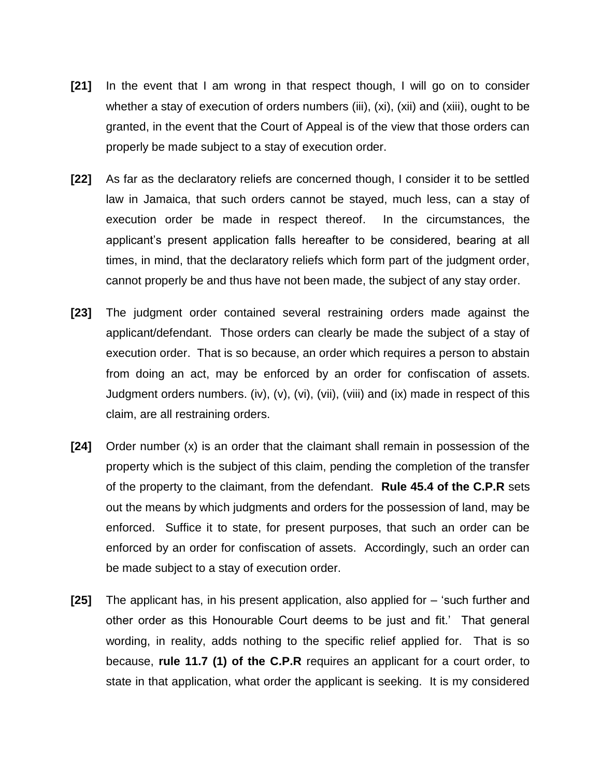- **[21]** In the event that I am wrong in that respect though, I will go on to consider whether a stay of execution of orders numbers (iii), (xi), (xii) and (xiii), ought to be granted, in the event that the Court of Appeal is of the view that those orders can properly be made subject to a stay of execution order.
- **[22]** As far as the declaratory reliefs are concerned though, I consider it to be settled law in Jamaica, that such orders cannot be stayed, much less, can a stay of execution order be made in respect thereof. In the circumstances, the applicant's present application falls hereafter to be considered, bearing at all times, in mind, that the declaratory reliefs which form part of the judgment order, cannot properly be and thus have not been made, the subject of any stay order.
- **[23]** The judgment order contained several restraining orders made against the applicant/defendant. Those orders can clearly be made the subject of a stay of execution order. That is so because, an order which requires a person to abstain from doing an act, may be enforced by an order for confiscation of assets. Judgment orders numbers. (iv), (v), (vi), (vii), (viii) and (ix) made in respect of this claim, are all restraining orders.
- **[24]** Order number (x) is an order that the claimant shall remain in possession of the property which is the subject of this claim, pending the completion of the transfer of the property to the claimant, from the defendant. **Rule 45.4 of the C.P.R** sets out the means by which judgments and orders for the possession of land, may be enforced. Suffice it to state, for present purposes, that such an order can be enforced by an order for confiscation of assets. Accordingly, such an order can be made subject to a stay of execution order.
- **[25]** The applicant has, in his present application, also applied for 'such further and other order as this Honourable Court deems to be just and fit.' That general wording, in reality, adds nothing to the specific relief applied for. That is so because, **rule 11.7 (1) of the C.P.R** requires an applicant for a court order, to state in that application, what order the applicant is seeking. It is my considered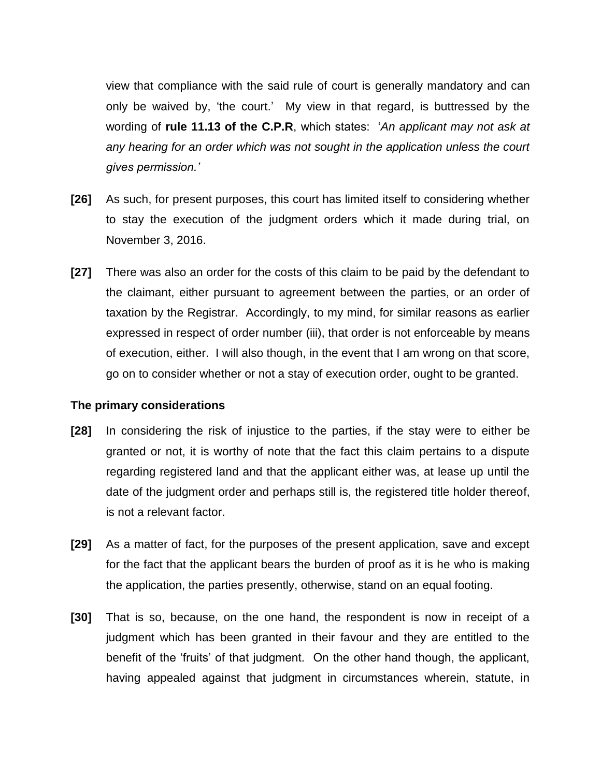view that compliance with the said rule of court is generally mandatory and can only be waived by, 'the court.' My view in that regard, is buttressed by the wording of **rule 11.13 of the C.P.R**, which states: '*An applicant may not ask at any hearing for an order which was not sought in the application unless the court gives permission.'*

- **[26]** As such, for present purposes, this court has limited itself to considering whether to stay the execution of the judgment orders which it made during trial, on November 3, 2016.
- **[27]** There was also an order for the costs of this claim to be paid by the defendant to the claimant, either pursuant to agreement between the parties, or an order of taxation by the Registrar. Accordingly, to my mind, for similar reasons as earlier expressed in respect of order number (iii), that order is not enforceable by means of execution, either. I will also though, in the event that I am wrong on that score, go on to consider whether or not a stay of execution order, ought to be granted.

### **The primary considerations**

- **[28]** In considering the risk of injustice to the parties, if the stay were to either be granted or not, it is worthy of note that the fact this claim pertains to a dispute regarding registered land and that the applicant either was, at lease up until the date of the judgment order and perhaps still is, the registered title holder thereof, is not a relevant factor.
- **[29]** As a matter of fact, for the purposes of the present application, save and except for the fact that the applicant bears the burden of proof as it is he who is making the application, the parties presently, otherwise, stand on an equal footing.
- **[30]** That is so, because, on the one hand, the respondent is now in receipt of a judgment which has been granted in their favour and they are entitled to the benefit of the 'fruits' of that judgment. On the other hand though, the applicant, having appealed against that judgment in circumstances wherein, statute, in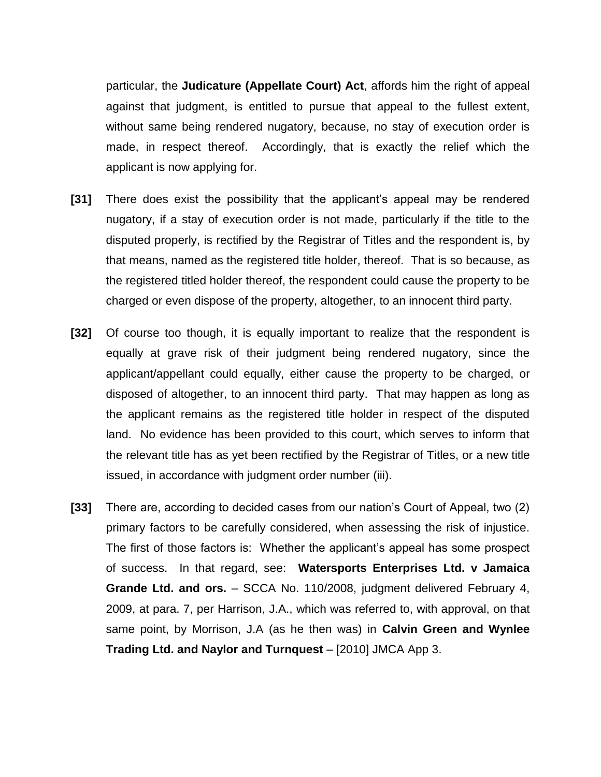particular, the **Judicature (Appellate Court) Act**, affords him the right of appeal against that judgment, is entitled to pursue that appeal to the fullest extent, without same being rendered nugatory, because, no stay of execution order is made, in respect thereof. Accordingly, that is exactly the relief which the applicant is now applying for.

- **[31]** There does exist the possibility that the applicant's appeal may be rendered nugatory, if a stay of execution order is not made, particularly if the title to the disputed properly, is rectified by the Registrar of Titles and the respondent is, by that means, named as the registered title holder, thereof. That is so because, as the registered titled holder thereof, the respondent could cause the property to be charged or even dispose of the property, altogether, to an innocent third party.
- **[32]** Of course too though, it is equally important to realize that the respondent is equally at grave risk of their judgment being rendered nugatory, since the applicant/appellant could equally, either cause the property to be charged, or disposed of altogether, to an innocent third party. That may happen as long as the applicant remains as the registered title holder in respect of the disputed land. No evidence has been provided to this court, which serves to inform that the relevant title has as yet been rectified by the Registrar of Titles, or a new title issued, in accordance with judgment order number (iii).
- **[33]** There are, according to decided cases from our nation's Court of Appeal, two (2) primary factors to be carefully considered, when assessing the risk of injustice. The first of those factors is: Whether the applicant's appeal has some prospect of success. In that regard, see: **Watersports Enterprises Ltd. v Jamaica Grande Ltd. and ors.** – SCCA No. 110/2008, judgment delivered February 4, 2009, at para. 7, per Harrison, J.A., which was referred to, with approval, on that same point, by Morrison, J.A (as he then was) in **Calvin Green and Wynlee Trading Ltd. and Naylor and Turnquest** – [2010] JMCA App 3.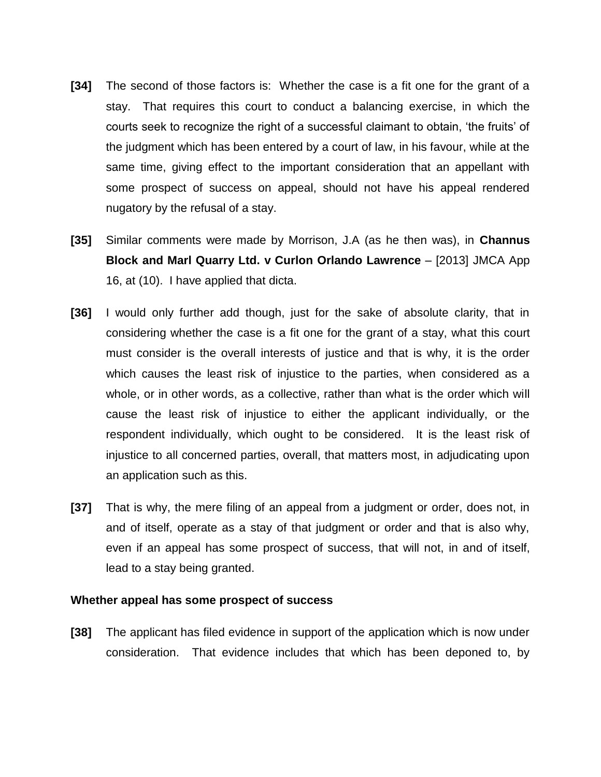- **[34]** The second of those factors is: Whether the case is a fit one for the grant of a stay. That requires this court to conduct a balancing exercise, in which the courts seek to recognize the right of a successful claimant to obtain, 'the fruits' of the judgment which has been entered by a court of law, in his favour, while at the same time, giving effect to the important consideration that an appellant with some prospect of success on appeal, should not have his appeal rendered nugatory by the refusal of a stay.
- **[35]** Similar comments were made by Morrison, J.A (as he then was), in **Channus Block and Marl Quarry Ltd. v Curlon Orlando Lawrence** – [2013] JMCA App 16, at (10). I have applied that dicta.
- **[36]** I would only further add though, just for the sake of absolute clarity, that in considering whether the case is a fit one for the grant of a stay, what this court must consider is the overall interests of justice and that is why, it is the order which causes the least risk of injustice to the parties, when considered as a whole, or in other words, as a collective, rather than what is the order which will cause the least risk of injustice to either the applicant individually, or the respondent individually, which ought to be considered. It is the least risk of injustice to all concerned parties, overall, that matters most, in adjudicating upon an application such as this.
- **[37]** That is why, the mere filing of an appeal from a judgment or order, does not, in and of itself, operate as a stay of that judgment or order and that is also why, even if an appeal has some prospect of success, that will not, in and of itself, lead to a stay being granted.

#### **Whether appeal has some prospect of success**

**[38]** The applicant has filed evidence in support of the application which is now under consideration. That evidence includes that which has been deponed to, by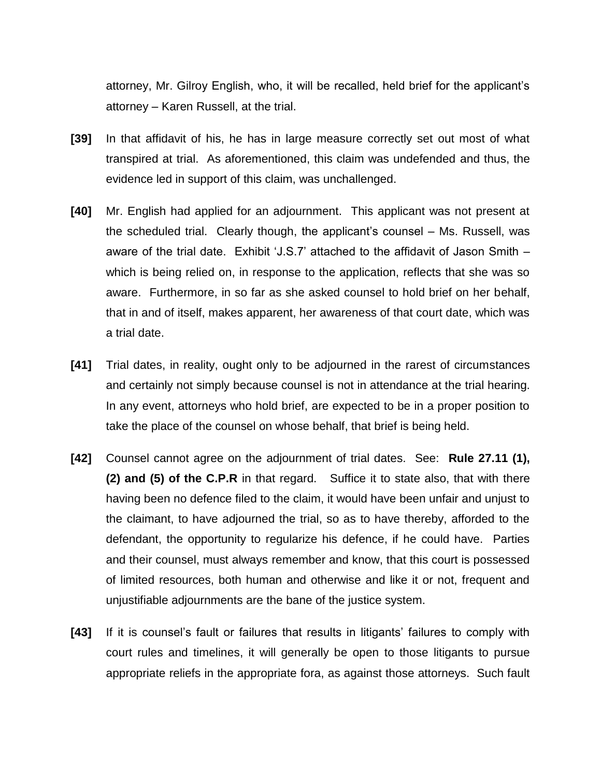attorney, Mr. Gilroy English, who, it will be recalled, held brief for the applicant's attorney – Karen Russell, at the trial.

- **[39]** In that affidavit of his, he has in large measure correctly set out most of what transpired at trial. As aforementioned, this claim was undefended and thus, the evidence led in support of this claim, was unchallenged.
- **[40]** Mr. English had applied for an adjournment. This applicant was not present at the scheduled trial. Clearly though, the applicant's counsel – Ms. Russell, was aware of the trial date. Exhibit 'J.S.7' attached to the affidavit of Jason Smith – which is being relied on, in response to the application, reflects that she was so aware. Furthermore, in so far as she asked counsel to hold brief on her behalf, that in and of itself, makes apparent, her awareness of that court date, which was a trial date.
- **[41]** Trial dates, in reality, ought only to be adjourned in the rarest of circumstances and certainly not simply because counsel is not in attendance at the trial hearing. In any event, attorneys who hold brief, are expected to be in a proper position to take the place of the counsel on whose behalf, that brief is being held.
- **[42]** Counsel cannot agree on the adjournment of trial dates. See: **Rule 27.11 (1), (2) and (5) of the C.P.R** in that regard. Suffice it to state also, that with there having been no defence filed to the claim, it would have been unfair and unjust to the claimant, to have adjourned the trial, so as to have thereby, afforded to the defendant, the opportunity to regularize his defence, if he could have. Parties and their counsel, must always remember and know, that this court is possessed of limited resources, both human and otherwise and like it or not, frequent and unjustifiable adjournments are the bane of the justice system.
- **[43]** If it is counsel's fault or failures that results in litigants' failures to comply with court rules and timelines, it will generally be open to those litigants to pursue appropriate reliefs in the appropriate fora, as against those attorneys. Such fault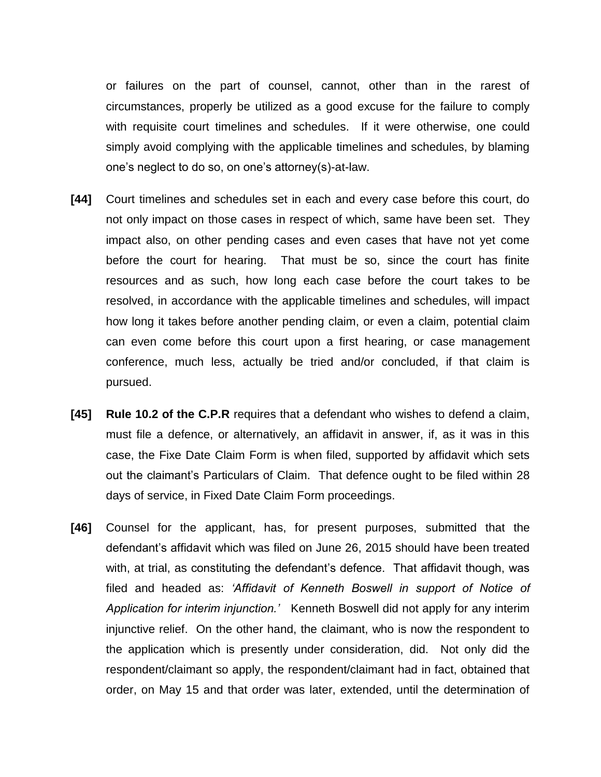or failures on the part of counsel, cannot, other than in the rarest of circumstances, properly be utilized as a good excuse for the failure to comply with requisite court timelines and schedules. If it were otherwise, one could simply avoid complying with the applicable timelines and schedules, by blaming one's neglect to do so, on one's attorney(s)-at-law.

- **[44]** Court timelines and schedules set in each and every case before this court, do not only impact on those cases in respect of which, same have been set. They impact also, on other pending cases and even cases that have not yet come before the court for hearing. That must be so, since the court has finite resources and as such, how long each case before the court takes to be resolved, in accordance with the applicable timelines and schedules, will impact how long it takes before another pending claim, or even a claim, potential claim can even come before this court upon a first hearing, or case management conference, much less, actually be tried and/or concluded, if that claim is pursued.
- **[45] Rule 10.2 of the C.P.R** requires that a defendant who wishes to defend a claim, must file a defence, or alternatively, an affidavit in answer, if, as it was in this case, the Fixe Date Claim Form is when filed, supported by affidavit which sets out the claimant's Particulars of Claim. That defence ought to be filed within 28 days of service, in Fixed Date Claim Form proceedings.
- **[46]** Counsel for the applicant, has, for present purposes, submitted that the defendant's affidavit which was filed on June 26, 2015 should have been treated with, at trial, as constituting the defendant's defence. That affidavit though, was filed and headed as: *'Affidavit of Kenneth Boswell in support of Notice of Application for interim injunction.'* Kenneth Boswell did not apply for any interim injunctive relief. On the other hand, the claimant, who is now the respondent to the application which is presently under consideration, did. Not only did the respondent/claimant so apply, the respondent/claimant had in fact, obtained that order, on May 15 and that order was later, extended, until the determination of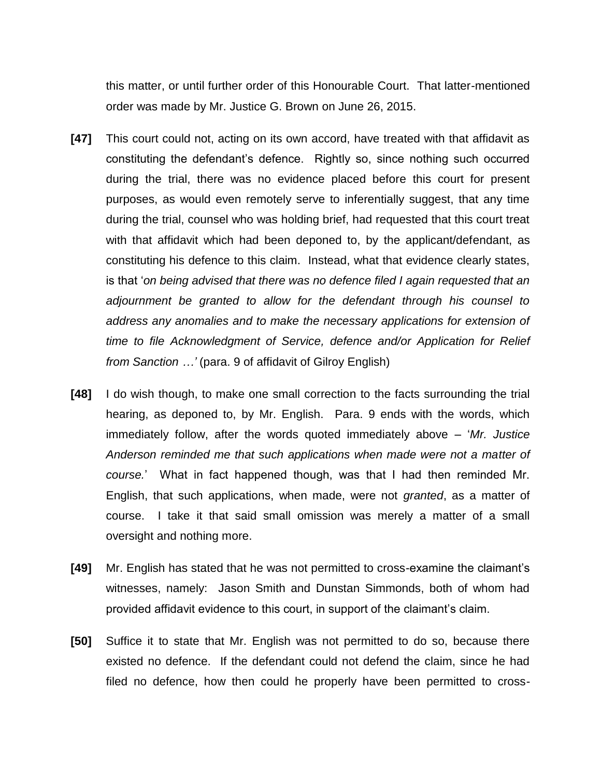this matter, or until further order of this Honourable Court. That latter-mentioned order was made by Mr. Justice G. Brown on June 26, 2015.

- **[47]** This court could not, acting on its own accord, have treated with that affidavit as constituting the defendant's defence. Rightly so, since nothing such occurred during the trial, there was no evidence placed before this court for present purposes, as would even remotely serve to inferentially suggest, that any time during the trial, counsel who was holding brief, had requested that this court treat with that affidavit which had been deponed to, by the applicant/defendant, as constituting his defence to this claim. Instead, what that evidence clearly states, is that '*on being advised that there was no defence filed I again requested that an adjournment be granted to allow for the defendant through his counsel to address any anomalies and to make the necessary applications for extension of time to file Acknowledgment of Service, defence and/or Application for Relief from Sanction …'* (para. 9 of affidavit of Gilroy English)
- **[48]** I do wish though, to make one small correction to the facts surrounding the trial hearing, as deponed to, by Mr. English. Para. 9 ends with the words, which immediately follow, after the words quoted immediately above – '*Mr. Justice Anderson reminded me that such applications when made were not a matter of course.*' What in fact happened though, was that I had then reminded Mr. English, that such applications, when made, were not *granted*, as a matter of course. I take it that said small omission was merely a matter of a small oversight and nothing more.
- **[49]** Mr. English has stated that he was not permitted to cross-examine the claimant's witnesses, namely: Jason Smith and Dunstan Simmonds, both of whom had provided affidavit evidence to this court, in support of the claimant's claim.
- **[50]** Suffice it to state that Mr. English was not permitted to do so, because there existed no defence. If the defendant could not defend the claim, since he had filed no defence, how then could he properly have been permitted to cross-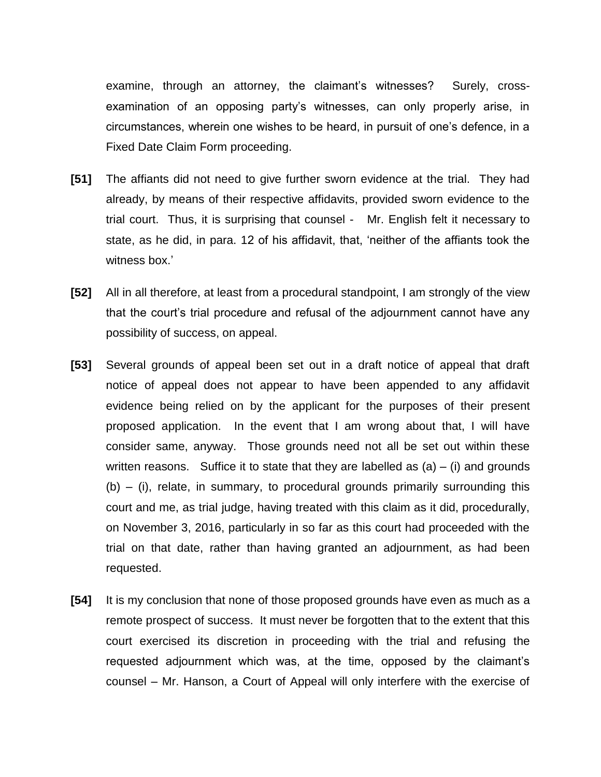examine, through an attorney, the claimant's witnesses? Surely, crossexamination of an opposing party's witnesses, can only properly arise, in circumstances, wherein one wishes to be heard, in pursuit of one's defence, in a Fixed Date Claim Form proceeding.

- **[51]** The affiants did not need to give further sworn evidence at the trial. They had already, by means of their respective affidavits, provided sworn evidence to the trial court. Thus, it is surprising that counsel - Mr. English felt it necessary to state, as he did, in para. 12 of his affidavit, that, 'neither of the affiants took the witness box.'
- **[52]** All in all therefore, at least from a procedural standpoint, I am strongly of the view that the court's trial procedure and refusal of the adjournment cannot have any possibility of success, on appeal.
- **[53]** Several grounds of appeal been set out in a draft notice of appeal that draft notice of appeal does not appear to have been appended to any affidavit evidence being relied on by the applicant for the purposes of their present proposed application. In the event that I am wrong about that, I will have consider same, anyway. Those grounds need not all be set out within these written reasons. Suffice it to state that they are labelled as  $(a) - (i)$  and grounds (b) – (i), relate, in summary, to procedural grounds primarily surrounding this court and me, as trial judge, having treated with this claim as it did, procedurally, on November 3, 2016, particularly in so far as this court had proceeded with the trial on that date, rather than having granted an adjournment, as had been requested.
- **[54]** It is my conclusion that none of those proposed grounds have even as much as a remote prospect of success. It must never be forgotten that to the extent that this court exercised its discretion in proceeding with the trial and refusing the requested adjournment which was, at the time, opposed by the claimant's counsel – Mr. Hanson, a Court of Appeal will only interfere with the exercise of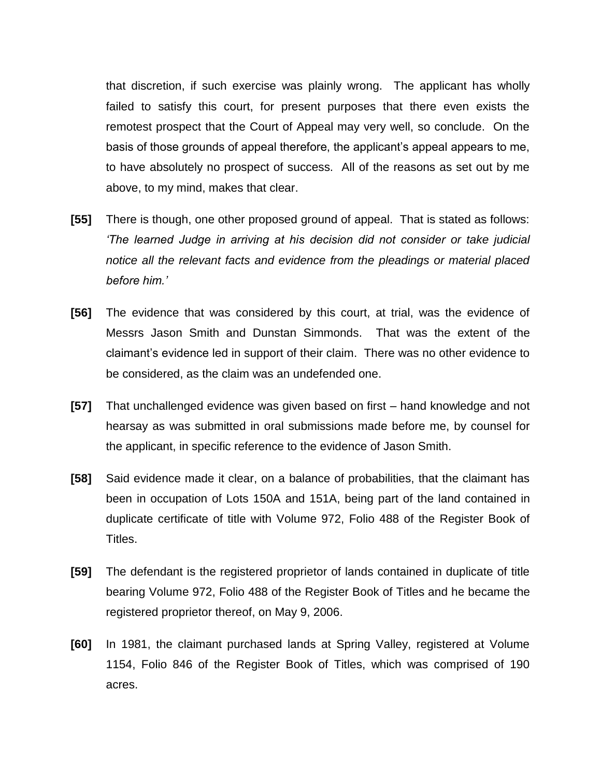that discretion, if such exercise was plainly wrong. The applicant has wholly failed to satisfy this court, for present purposes that there even exists the remotest prospect that the Court of Appeal may very well, so conclude. On the basis of those grounds of appeal therefore, the applicant's appeal appears to me, to have absolutely no prospect of success. All of the reasons as set out by me above, to my mind, makes that clear.

- **[55]** There is though, one other proposed ground of appeal. That is stated as follows: *'The learned Judge in arriving at his decision did not consider or take judicial notice all the relevant facts and evidence from the pleadings or material placed before him.'*
- **[56]** The evidence that was considered by this court, at trial, was the evidence of Messrs Jason Smith and Dunstan Simmonds. That was the extent of the claimant's evidence led in support of their claim. There was no other evidence to be considered, as the claim was an undefended one.
- **[57]** That unchallenged evidence was given based on first hand knowledge and not hearsay as was submitted in oral submissions made before me, by counsel for the applicant, in specific reference to the evidence of Jason Smith.
- **[58]** Said evidence made it clear, on a balance of probabilities, that the claimant has been in occupation of Lots 150A and 151A, being part of the land contained in duplicate certificate of title with Volume 972, Folio 488 of the Register Book of Titles.
- **[59]** The defendant is the registered proprietor of lands contained in duplicate of title bearing Volume 972, Folio 488 of the Register Book of Titles and he became the registered proprietor thereof, on May 9, 2006.
- **[60]** In 1981, the claimant purchased lands at Spring Valley, registered at Volume 1154, Folio 846 of the Register Book of Titles, which was comprised of 190 acres.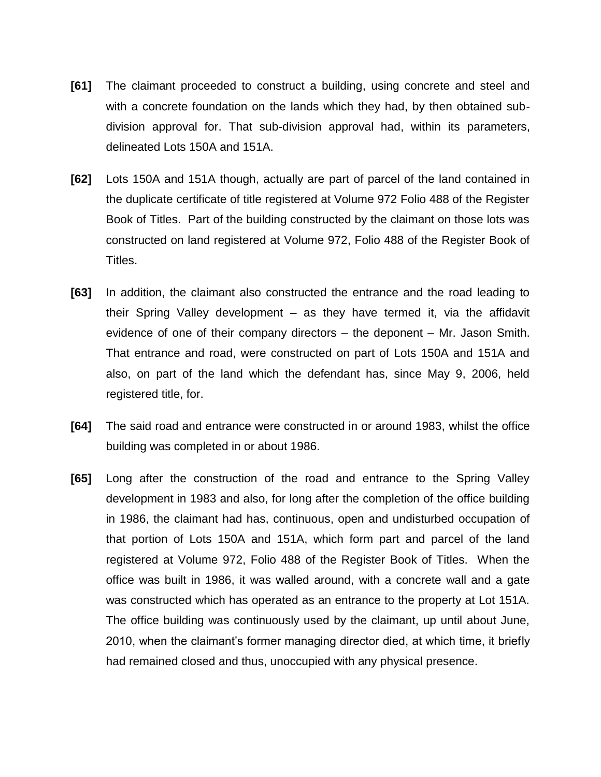- **[61]** The claimant proceeded to construct a building, using concrete and steel and with a concrete foundation on the lands which they had, by then obtained subdivision approval for. That sub-division approval had, within its parameters, delineated Lots 150A and 151A.
- **[62]** Lots 150A and 151A though, actually are part of parcel of the land contained in the duplicate certificate of title registered at Volume 972 Folio 488 of the Register Book of Titles. Part of the building constructed by the claimant on those lots was constructed on land registered at Volume 972, Folio 488 of the Register Book of Titles.
- **[63]** In addition, the claimant also constructed the entrance and the road leading to their Spring Valley development – as they have termed it, via the affidavit evidence of one of their company directors – the deponent – Mr. Jason Smith. That entrance and road, were constructed on part of Lots 150A and 151A and also, on part of the land which the defendant has, since May 9, 2006, held registered title, for.
- **[64]** The said road and entrance were constructed in or around 1983, whilst the office building was completed in or about 1986.
- **[65]** Long after the construction of the road and entrance to the Spring Valley development in 1983 and also, for long after the completion of the office building in 1986, the claimant had has, continuous, open and undisturbed occupation of that portion of Lots 150A and 151A, which form part and parcel of the land registered at Volume 972, Folio 488 of the Register Book of Titles. When the office was built in 1986, it was walled around, with a concrete wall and a gate was constructed which has operated as an entrance to the property at Lot 151A. The office building was continuously used by the claimant, up until about June, 2010, when the claimant's former managing director died, at which time, it briefly had remained closed and thus, unoccupied with any physical presence.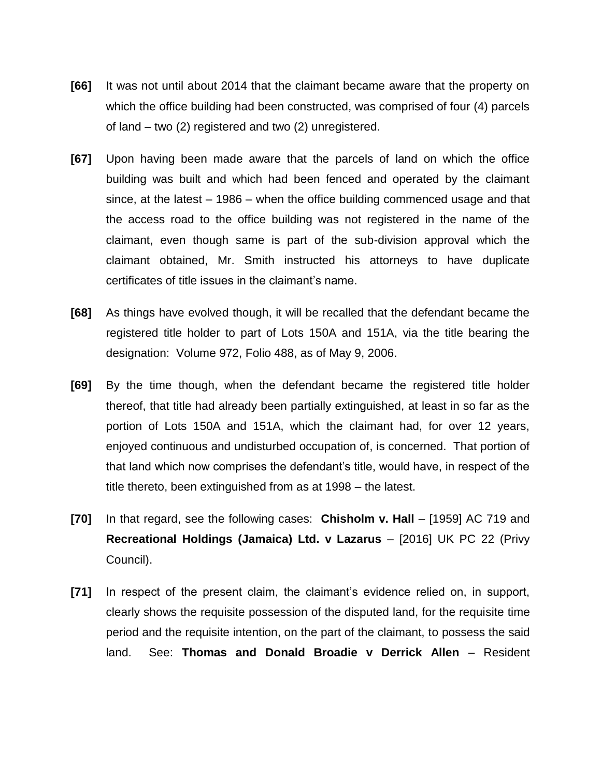- **[66]** It was not until about 2014 that the claimant became aware that the property on which the office building had been constructed, was comprised of four (4) parcels of land – two (2) registered and two (2) unregistered.
- **[67]** Upon having been made aware that the parcels of land on which the office building was built and which had been fenced and operated by the claimant since, at the latest – 1986 – when the office building commenced usage and that the access road to the office building was not registered in the name of the claimant, even though same is part of the sub-division approval which the claimant obtained, Mr. Smith instructed his attorneys to have duplicate certificates of title issues in the claimant's name.
- **[68]** As things have evolved though, it will be recalled that the defendant became the registered title holder to part of Lots 150A and 151A, via the title bearing the designation: Volume 972, Folio 488, as of May 9, 2006.
- **[69]** By the time though, when the defendant became the registered title holder thereof, that title had already been partially extinguished, at least in so far as the portion of Lots 150A and 151A, which the claimant had, for over 12 years, enjoyed continuous and undisturbed occupation of, is concerned. That portion of that land which now comprises the defendant's title, would have, in respect of the title thereto, been extinguished from as at 1998 – the latest.
- **[70]** In that regard, see the following cases: **Chisholm v. Hall** [1959] AC 719 and **Recreational Holdings (Jamaica) Ltd. v Lazarus** – [2016] UK PC 22 (Privy Council).
- **[71]** In respect of the present claim, the claimant's evidence relied on, in support, clearly shows the requisite possession of the disputed land, for the requisite time period and the requisite intention, on the part of the claimant, to possess the said land. See: **Thomas and Donald Broadie v Derrick Allen** – Resident